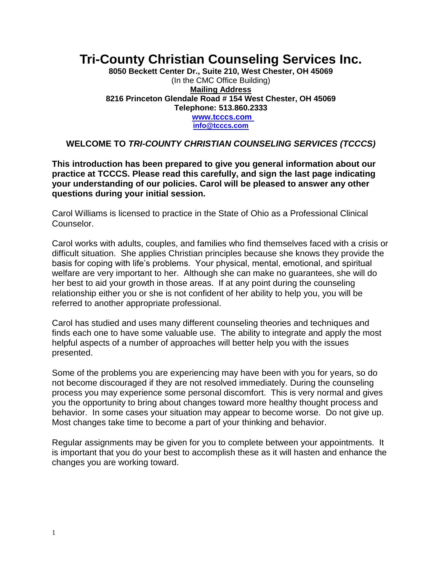# **Tri-County Christian Counseling Services Inc.**

**8050 Beckett Center Dr., Suite 210, West Chester, OH 45069** (In the CMC Office Building) **Mailing Address 8216 Princeton Glendale Road # 154 West Chester, OH 45069 Telephone: 513.860.2333 www.tcccs.com [info@tcccs.com](mailto:info@tcccs.com)**

#### **WELCOME TO** *TRI-COUNTY CHRISTIAN COUNSELING SERVICES (TCCCS)*

**This introduction has been prepared to give you general information about our practice at TCCCS. Please read this carefully, and sign the last page indicating your understanding of our policies. Carol will be pleased to answer any other questions during your initial session.**

Carol Williams is licensed to practice in the State of Ohio as a Professional Clinical Counselor.

Carol works with adults, couples, and families who find themselves faced with a crisis or difficult situation. She applies Christian principles because she knows they provide the basis for coping with life's problems. Your physical, mental, emotional, and spiritual welfare are very important to her. Although she can make no guarantees, she will do her best to aid your growth in those areas. If at any point during the counseling relationship either you or she is not confident of her ability to help you, you will be referred to another appropriate professional.

Carol has studied and uses many different counseling theories and techniques and finds each one to have some valuable use. The ability to integrate and apply the most helpful aspects of a number of approaches will better help you with the issues presented.

Some of the problems you are experiencing may have been with you for years, so do not become discouraged if they are not resolved immediately. During the counseling process you may experience some personal discomfort. This is very normal and gives you the opportunity to bring about changes toward more healthy thought process and behavior. In some cases your situation may appear to become worse. Do not give up. Most changes take time to become a part of your thinking and behavior.

Regular assignments may be given for you to complete between your appointments. It is important that you do your best to accomplish these as it will hasten and enhance the changes you are working toward.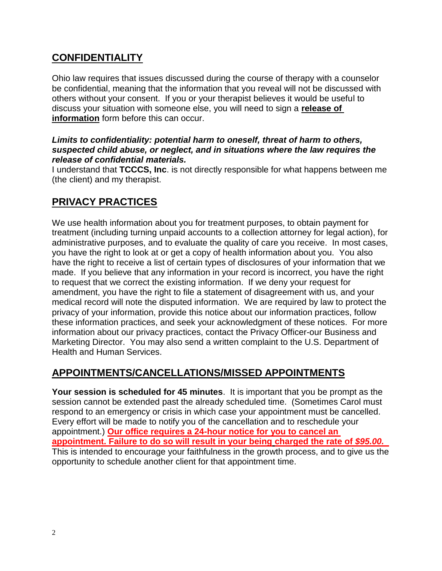## **CONFIDENTIALITY**

Ohio law requires that issues discussed during the course of therapy with a counselor be confidential, meaning that the information that you reveal will not be discussed with others without your consent. If you or your therapist believes it would be useful to discuss your situation with someone else, you will need to sign a **release of information** form before this can occur.

#### *Limits to confidentiality: potential harm to oneself, threat of harm to others, suspected child abuse, or neglect, and in situations where the law requires the release of confidential materials.*

I understand that **TCCCS, Inc**. is not directly responsible for what happens between me (the client) and my therapist.

## **PRIVACY PRACTICES**

We use health information about you for treatment purposes, to obtain payment for treatment (including turning unpaid accounts to a collection attorney for legal action), for administrative purposes, and to evaluate the quality of care you receive. In most cases, you have the right to look at or get a copy of health information about you. You also have the right to receive a list of certain types of disclosures of your information that we made. If you believe that any information in your record is incorrect, you have the right to request that we correct the existing information. If we deny your request for amendment, you have the right to file a statement of disagreement with us, and your medical record will note the disputed information. We are required by law to protect the privacy of your information, provide this notice about our information practices, follow these information practices, and seek your acknowledgment of these notices. For more information about our privacy practices, contact the Privacy Officer-our Business and Marketing Director. You may also send a written complaint to the U.S. Department of Health and Human Services.

## **APPOINTMENTS/CANCELLATIONS/MISSED APPOINTMENTS**

**Your session is scheduled for 45 minutes**. It is important that you be prompt as the session cannot be extended past the already scheduled time. (Sometimes Carol must respond to an emergency or crisis in which case your appointment must be cancelled. Every effort will be made to notify you of the cancellation and to reschedule your appointment.) **Our office requires a 24-hour notice for you to cancel an appointment. Failure to do so will result in your being charged the rate of** *\$95.00.*  This is intended to encourage your faithfulness in the growth process, and to give us the opportunity to schedule another client for that appointment time.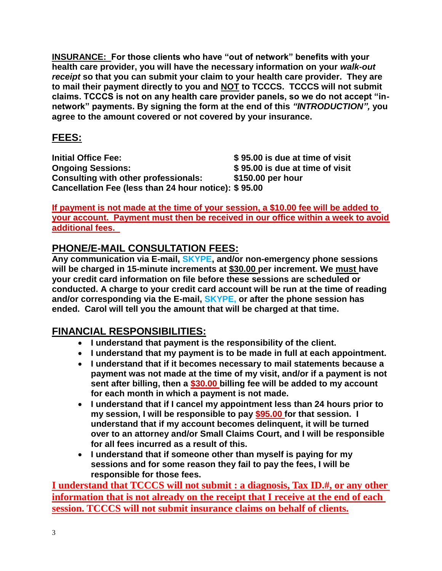**INSURANCE: For those clients who have "out of network" benefits with your health care provider, you will have the necessary information on your** *walk-out receipt* **so that you can submit your claim to your health care provider. They are to mail their payment directly to you and NOT to TCCCS. TCCCS will not submit claims. TCCCS is not on any health care provider panels, so we do not accept "innetwork" payments. By signing the form at the end of this** *"INTRODUCTION",* **you agree to the amount covered or not covered by your insurance.**

## **FEES:**

**Initial Office Fee: \$ 95.00 is due at time of visit Ongoing Sessions: \$ 95.00 is due at time of visit Consulting with other professionals: \$150.00 per hour Cancellation Fee (less than 24 hour notice): \$ 95.00**

**If payment is not made at the time of your session, a \$10.00 fee will be added to your account. Payment must then be received in our office within a week to avoid additional fees.** 

## **PHONE/E-MAIL CONSULTATION FEES:**

**Any communication via E-mail, SKYPE, and/or non-emergency phone sessions will be charged in 15-minute increments at \$30.00 per increment. We must have your credit card information on file before these sessions are scheduled or conducted. A charge to your credit card account will be run at the time of reading and/or corresponding via the E-mail, SKYPE, or after the phone session has ended. Carol will tell you the amount that will be charged at that time.** 

## **FINANCIAL RESPONSIBILITIES:**

- **I understand that payment is the responsibility of the client.**
- **I understand that my payment is to be made in full at each appointment.**
- **I understand that if it becomes necessary to mail statements because a payment was not made at the time of my visit, and/or if a payment is not sent after billing, then a \$30.00 billing fee will be added to my account for each month in which a payment is not made.**
- **I understand that if I cancel my appointment less than 24 hours prior to my session, I will be responsible to pay \$95.00 for that session. I understand that if my account becomes delinquent, it will be turned over to an attorney and/or Small Claims Court, and I will be responsible for all fees incurred as a result of this.**
- **I understand that if someone other than myself is paying for my sessions and for some reason they fail to pay the fees, I will be responsible for those fees.**

**I understand that TCCCS will not submit : a diagnosis, Tax ID.#, or any other information that is not already on the receipt that I receive at the end of each session. TCCCS will not submit insurance claims on behalf of clients.**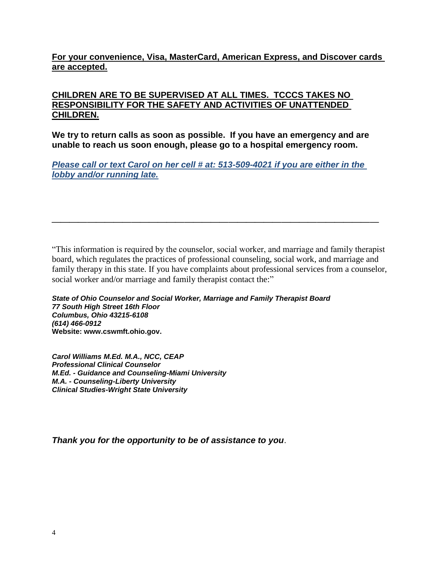#### **For your convenience, Visa, MasterCard, American Express, and Discover cards are accepted.**

#### **CHILDREN ARE TO BE SUPERVISED AT ALL TIMES. TCCCS TAKES NO RESPONSIBILITY FOR THE SAFETY AND ACTIVITIES OF UNATTENDED CHILDREN.**

**We try to return calls as soon as possible. If you have an emergency and are unable to reach us soon enough, please go to a hospital emergency room.**

*Please call or text Carol on her cell # at: 513-509-4021 if you are either in the lobby and/or running late.*

**\_\_\_\_\_\_\_\_\_\_\_\_\_\_\_\_\_\_\_\_\_\_\_\_\_\_\_\_\_\_\_\_\_\_\_\_\_**

"This information is required by the counselor, social worker, and marriage and family therapist board, which regulates the practices of professional counseling, social work, and marriage and family therapy in this state. If you have complaints about professional services from a counselor, social worker and/or marriage and family therapist contact the:"

*State of Ohio Counselor and Social Worker, Marriage and Family Therapist Board 77 South High Street 16th Floor Columbus, Ohio 43215-6108 (614) 466-0912* **Website: www.cswmft.ohio.gov.**

*Carol Williams M.Ed. M.A., NCC, CEAP Professional Clinical Counselor M.Ed. - Guidance and Counseling-Miami University M.A. - Counseling-Liberty University Clinical Studies-Wright State University*

*Thank you for the opportunity to be of assistance to you*.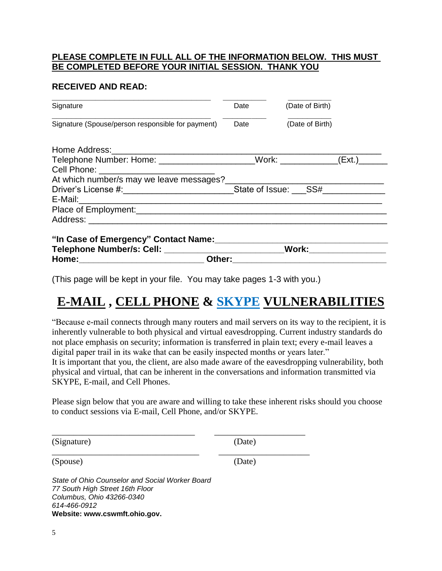#### **PLEASE COMPLETE IN FULL ALL OF THE INFORMATION BELOW. THIS MUST BE COMPLETED BEFORE YOUR INITIAL SESSION. THANK YOU**

#### **RECEIVED AND READ:**

| Signature                                                                     | Date | (Date of Birth)       |  |  |
|-------------------------------------------------------------------------------|------|-----------------------|--|--|
| Signature (Spouse/person responsible for payment)                             | Date | (Date of Birth)       |  |  |
|                                                                               |      |                       |  |  |
| Telephone Number: Home: ______________________Work: ____________(Ext.)_______ |      |                       |  |  |
| Cell Phone: _____________________________                                     |      |                       |  |  |
|                                                                               |      |                       |  |  |
|                                                                               |      |                       |  |  |
|                                                                               |      |                       |  |  |
|                                                                               |      |                       |  |  |
|                                                                               |      |                       |  |  |
|                                                                               |      |                       |  |  |
|                                                                               |      | Work: _______________ |  |  |
| Other:                                                                        |      |                       |  |  |

(This page will be kept in your file. You may take pages 1-3 with you.)

\_\_\_\_\_\_\_\_\_\_\_\_\_\_\_\_\_\_\_\_\_\_\_\_\_\_\_\_\_\_\_\_\_ \_\_\_\_\_\_\_\_\_\_\_\_\_\_\_\_\_\_\_\_\_

\_\_\_\_\_\_\_\_\_\_\_\_\_\_\_\_\_\_\_\_\_\_\_\_\_\_\_\_\_\_\_\_\_\_ \_\_\_\_\_\_\_\_\_\_\_\_\_\_\_\_\_\_\_\_\_

# **E-MAIL , CELL PHONE & SKYPE VULNERABILITIES**

"Because e-mail connects through many routers and mail servers on its way to the recipient, it is inherently vulnerable to both physical and virtual eavesdropping. Current industry standards do not place emphasis on security; information is transferred in plain text; every e-mail leaves a digital paper trail in its wake that can be easily inspected months or years later." It is important that you, the client, are also made aware of the eavesdropping vulnerability, both physical and virtual, that can be inherent in the conversations and information transmitted via SKYPE, E-mail, and Cell Phones.

Please sign below that you are aware and willing to take these inherent risks should you choose to conduct sessions via E-mail, Cell Phone, and/or SKYPE.

(Signature) (Date)

(Spouse) (Date)

*State of Ohio Counselor and Social Worker Board 77 South High Street 16th Floor Columbus, Ohio 43266-0340 614-466-0912* **Website: www.cswmft.ohio.gov.**